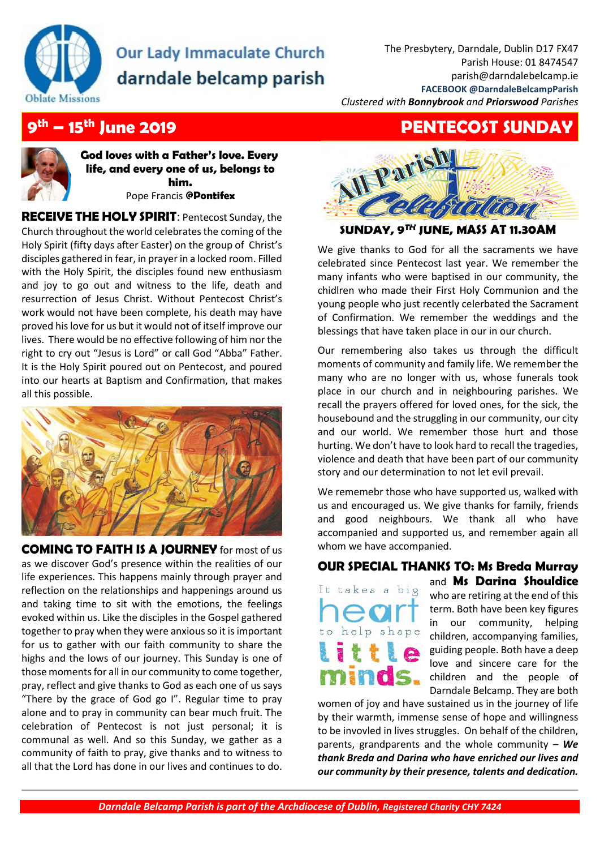

# **Our Lady Immaculate Church** darndale belcamp parish

The Presbytery, Darndale, Dublin D17 FX47 Parish House: 01 8474547 parish@darndalebelcamp.ie **FACEBOOK @DarndaleBelcampParish**  *Clustered with Bonnybrook and Priorswood Parishes* 

**th – 15th June 2019 PENTECOST SUNDAY**

# 9<sup>th</sup> – 15<sup>th</sup> June 2019



**God loves with a Father's love. Every life, and every one of us, belongs to him.**  Pope Francis **@Pontifex** 

**RECEIVE THE HOLY SPIRIT**: Pentecost Sunday, the Church throughout the world celebrates the coming of the Holy Spirit (fifty days after Easter) on the group of Christ's disciples gathered in fear, in prayer in a locked room. Filled with the Holy Spirit, the disciples found new enthusiasm and joy to go out and witness to the life, death and resurrection of Jesus Christ. Without Pentecost Christ's work would not have been complete, his death may have proved his love for us but it would not of itself improve our lives. There would be no effective following of him nor the right to cry out "Jesus is Lord" or call God "Abba" Father. It is the Holy Spirit poured out on Pentecost, and poured into our hearts at Baptism and Confirmation, that makes all this possible.



**COMING TO FAITH IS A JOURNEY** for most of us as we discover God's presence within the realities of our life experiences. This happens mainly through prayer and reflection on the relationships and happenings around us and taking time to sit with the emotions, the feelings evoked within us. Like the disciples in the Gospel gathered together to pray when they were anxious so it is important for us to gather with our faith community to share the highs and the lows of our journey. This Sunday is one of those moments for all in our community to come together, pray, reflect and give thanks to God as each one of us says "There by the grace of God go I". Regular time to pray alone and to pray in community can bear much fruit. The celebration of Pentecost is not just personal; it is communal as well. And so this Sunday, we gather as a community of faith to pray, give thanks and to witness to all that the Lord has done in our lives and continues to do.



**SUNDAY, 9TH JUNE, MASS AT 11.30AM** 

We give thanks to God for all the sacraments we have celebrated since Pentecost last year. We remember the many infants who were baptised in our community, the chidlren who made their First Holy Communion and the young people who just recently celerbated the Sacrament of Confirmation. We remember the weddings and the blessings that have taken place in our in our church.

Our remembering also takes us through the difficult moments of community and family life. We remember the many who are no longer with us, whose funerals took place in our church and in neighbouring parishes. We recall the prayers offered for loved ones, for the sick, the housebound and the struggling in our community, our city and our world. We remember those hurt and those hurting. We don't have to look hard to recall the tragedies, violence and death that have been part of our community story and our determination to not let evil prevail.

We rememebr those who have supported us, walked with us and encouraged us. We give thanks for family, friends and good neighbours. We thank all who have accompanied and supported us, and remember again all whom we have accompanied.

## **OUR SPECIAL THANKS TO: Ms Breda Murray**

It takes a big help shape and **Ms Darina Shouldice** who are retiring at the end of this term. Both have been key figures in our community, helping children, accompanying families, guiding people. Both have a deep love and sincere care for the children and the people of Darndale Belcamp. They are both

women of joy and have sustained us in the journey of life by their warmth, immense sense of hope and willingness to be invovled in lives struggles. On behalf of the children, parents, grandparents and the whole community – *We thank Breda and Darina who have enriched our lives and our community by their presence, talents and dedication.*